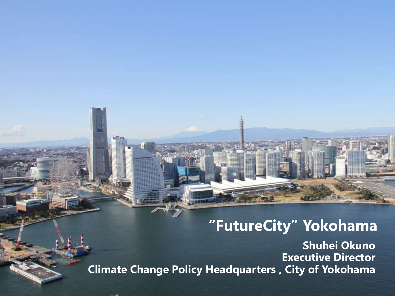### **"FutureCity" Yokohama**

**Shuhei Okuno Executive Director Climate Change Policy Headquarters , City of Yokohama**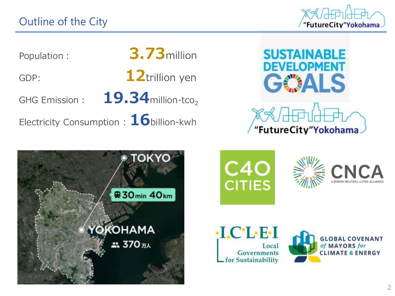"FutureCity"Yokohama

Population: **3.73**million

GDP: **12**trillion yen

GHG Emission: **19.34** million-tco<sub>2</sub>

Electricity Consumption : **16**billion-kwh











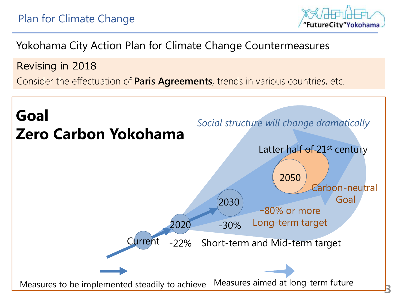

Yokohama City Action Plan for Climate Change Countermeasures

Revising in 2018

Consider the effectuation of **Paris Agreements**, trends in various countries, etc.

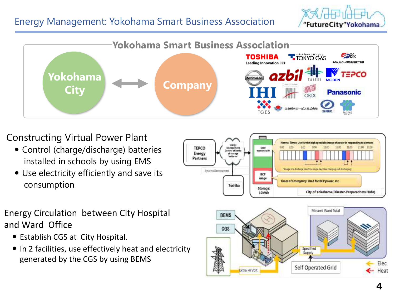### Energy Management: Yokohama Smart Business Association

"FutureCity"Yokohama



### Constructing Virtual Power Plant

- Control (charge/discharge) batteries installed in schools by using EMS
- Use electricity efficiently and save its consumption



#### Energy Circulation between City Hospital and Ward Office

- Establish CGS at City Hospital.
- In 2 facilities, use effectively heat and electricity generated by the CGS by using BEMS

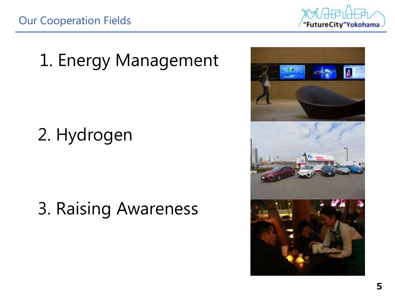

### 1. Energy Management

### 2. Hydrogen

3. Raising Awareness

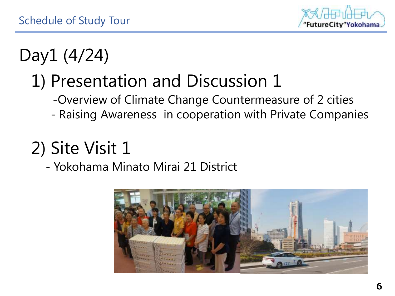

# Day1 (4/24)

# 1) Presentation and Discussion 1

- -Overview of Climate Change Countermeasure of 2 cities
- Raising Awareness in cooperation with Private Companies

# 2) Site Visit 1

### - Yokohama Minato Mirai 21 District

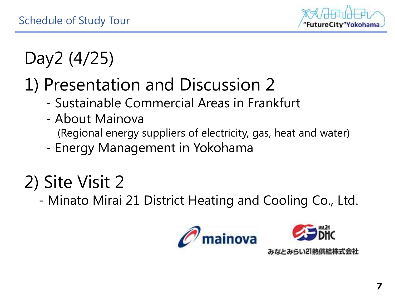

# Day2 (4/25)

## 1) Presentation and Discussion 2

- Sustainable Commercial Areas in Frankfurt
- About Mainova (Regional energy suppliers of electricity, gas, heat and water)
- Energy Management in Yokohama

# 2) Site Visit 2

- Minato Mirai 21 District Heating and Cooling Co., Ltd.

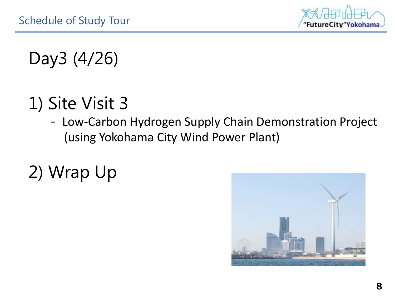

### Day3 (4/26)

### 1) Site Visit 3

- Low-Carbon Hydrogen Supply Chain Demonstration Project (using Yokohama City Wind Power Plant)
- 2) Wrap Up